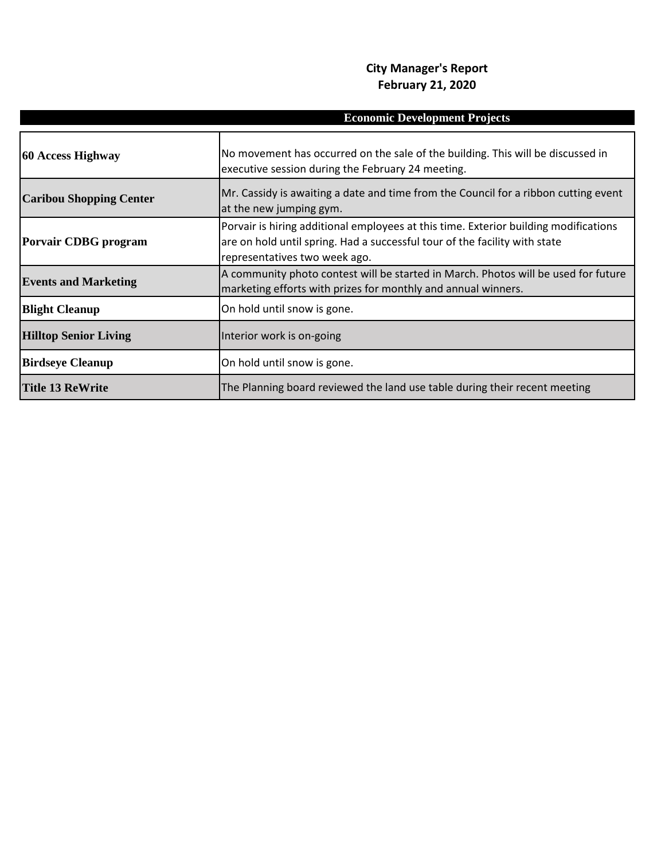## **City Manager's Report February 21, 2020**

|                                | <b>Economic Development Projects</b>                                                                                                                                                                |
|--------------------------------|-----------------------------------------------------------------------------------------------------------------------------------------------------------------------------------------------------|
| 60 Access Highway              | No movement has occurred on the sale of the building. This will be discussed in<br>executive session during the February 24 meeting.                                                                |
| <b>Caribou Shopping Center</b> | Mr. Cassidy is awaiting a date and time from the Council for a ribbon cutting event<br>at the new jumping gym.                                                                                      |
| <b>Porvair CDBG</b> program    | Porvair is hiring additional employees at this time. Exterior building modifications<br>are on hold until spring. Had a successful tour of the facility with state<br>representatives two week ago. |
| <b>Events and Marketing</b>    | A community photo contest will be started in March. Photos will be used for future<br>marketing efforts with prizes for monthly and annual winners.                                                 |
| <b>Blight Cleanup</b>          | On hold until snow is gone.                                                                                                                                                                         |
| <b>Hilltop Senior Living</b>   | Interior work is on-going                                                                                                                                                                           |
| <b>Birdseye Cleanup</b>        | On hold until snow is gone.                                                                                                                                                                         |
| <b>Title 13 ReWrite</b>        | The Planning board reviewed the land use table during their recent meeting                                                                                                                          |